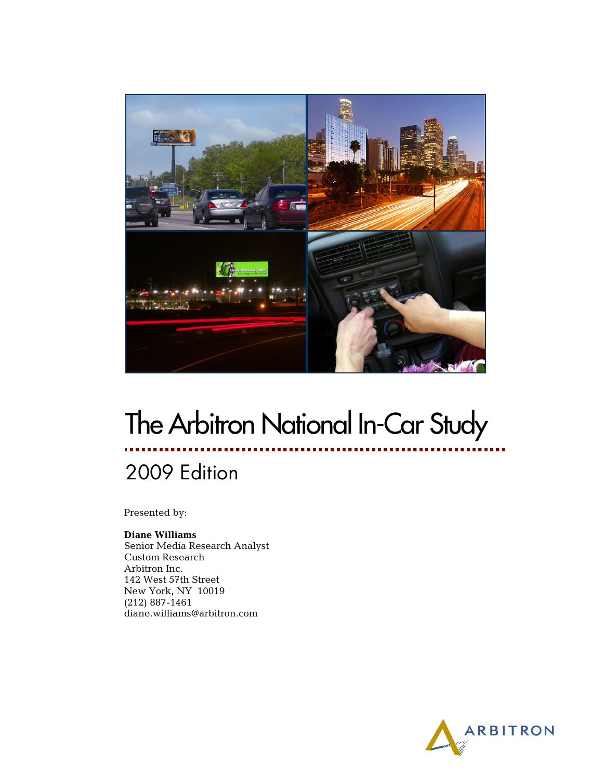

# The Arbitron National In-Car Study

# 2009 Edition

Presented by:

#### **Diane Williams**

Senior Media Research Analyst Custom Research Arbitron Inc. 142 West 57th Street New York, NY 10019 (212) 887-1461 diane.williams@arbitron.com

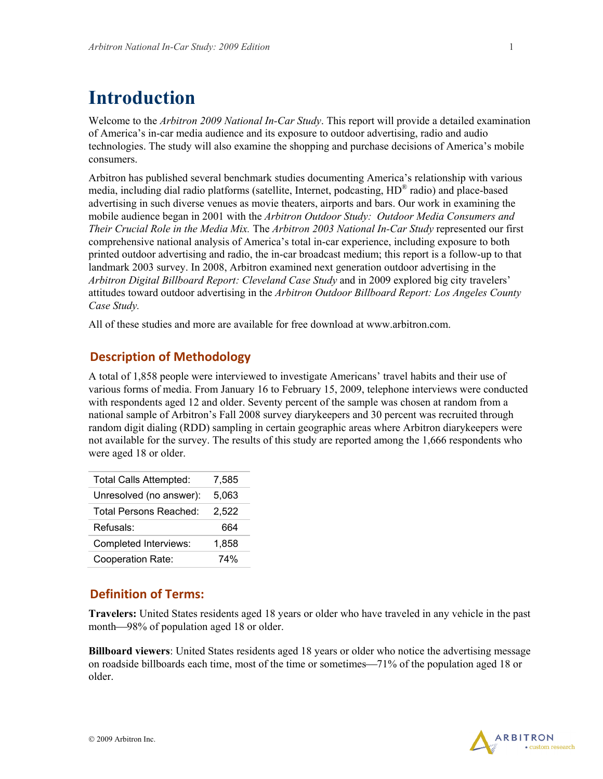## **Introduction**

Welcome to the *Arbitron 2009 National In-Car Study*. This report will provide a detailed examination of America's in-car media audience and its exposure to outdoor advertising, radio and audio technologies. The study will also examine the shopping and purchase decisions of America's mobile consumers.

Arbitron has published several benchmark studies documenting America's relationship with various media, including dial radio platforms (satellite, Internet, podcasting, HD® radio) and place-based advertising in such diverse venues as movie theaters, airports and bars. Our work in examining the mobile audience began in 2001 with the *Arbitron Outdoor Study: Outdoor Media Consumers and Their Crucial Role in the Media Mix.* The *Arbitron 2003 National In-Car Study* represented our first comprehensive national analysis of America's total in-car experience, including exposure to both printed outdoor advertising and radio, the in-car broadcast medium; this report is a follow-up to that landmark 2003 survey. In 2008, Arbitron examined next generation outdoor advertising in the *Arbitron Digital Billboard Report: Cleveland Case Study* and in 2009 explored big city travelers' attitudes toward outdoor advertising in the *Arbitron Outdoor Billboard Report: Los Angeles County Case Study.*

All of these studies and more are available for free download at www.arbitron.com.

#### **Description of Methodology**

A total of 1,858 people were interviewed to investigate Americans' travel habits and their use of various forms of media. From January 16 to February 15, 2009, telephone interviews were conducted with respondents aged 12 and older. Seventy percent of the sample was chosen at random from a national sample of Arbitron's Fall 2008 survey diarykeepers and 30 percent was recruited through random digit dialing (RDD) sampling in certain geographic areas where Arbitron diarykeepers were not available for the survey. The results of this study are reported among the 1,666 respondents who were aged 18 or older.

| <b>Total Calls Attempted:</b> | 7,585 |
|-------------------------------|-------|
| Unresolved (no answer):       | 5,063 |
| <b>Total Persons Reached:</b> | 2,522 |
| Refusals:                     | 664   |
| Completed Interviews:         | 1,858 |
| Cooperation Rate:             | 74%   |

#### **Definition of Terms:**

**Travelers:** United States residents aged 18 years or older who have traveled in any vehicle in the past month—98% of population aged 18 or older.

**Billboard viewers**: United States residents aged 18 years or older who notice the advertising message on roadside billboards each time, most of the time or sometimes—71% of the population aged 18 or older.

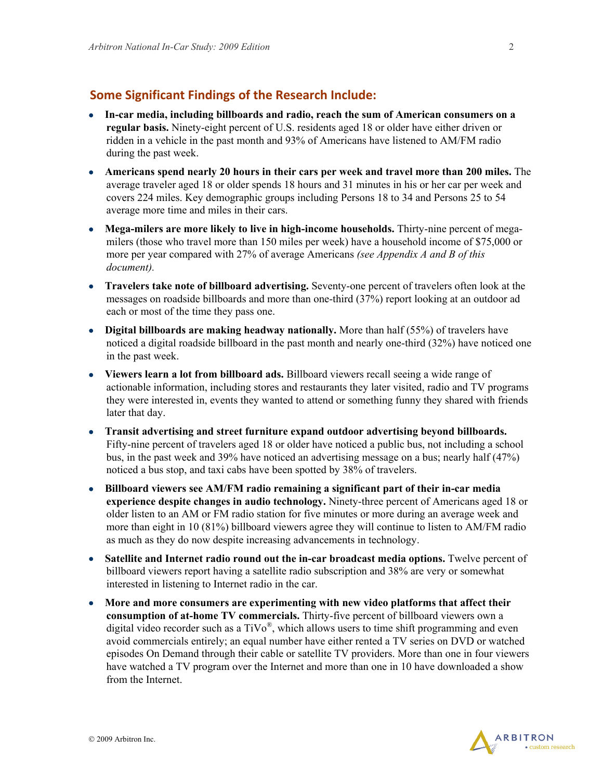#### **Some Significant Findings of the Research Include:**

- **In-car media, including billboards and radio, reach the sum of American consumers on a regular basis.** Ninety-eight percent of U.S. residents aged 18 or older have either driven or ridden in a vehicle in the past month and 93% of Americans have listened to AM/FM radio during the past week.
- **Americans spend nearly 20 hours in their cars per week and travel more than 200 miles.** The average traveler aged 18 or older spends 18 hours and 31 minutes in his or her car per week and covers 224 miles. Key demographic groups including Persons 18 to 34 and Persons 25 to 54 average more time and miles in their cars.
- **Mega-milers are more likely to live in high-income households.** Thirty-nine percent of megamilers (those who travel more than 150 miles per week) have a household income of \$75,000 or more per year compared with 27% of average Americans *(see Appendix A and B of this document).*
- **Travelers take note of billboard advertising.** Seventy-one percent of travelers often look at the messages on roadside billboards and more than one-third (37%) report looking at an outdoor ad each or most of the time they pass one.
- **Digital billboards are making headway nationally.** More than half (55%) of travelers have noticed a digital roadside billboard in the past month and nearly one-third (32%) have noticed one in the past week.
- **Viewers learn a lot from billboard ads.** Billboard viewers recall seeing a wide range of actionable information, including stores and restaurants they later visited, radio and TV programs they were interested in, events they wanted to attend or something funny they shared with friends later that day.
- **Transit advertising and street furniture expand outdoor advertising beyond billboards.**  Fifty-nine percent of travelers aged 18 or older have noticed a public bus, not including a school bus, in the past week and 39% have noticed an advertising message on a bus; nearly half (47%) noticed a bus stop, and taxi cabs have been spotted by 38% of travelers.
- **Billboard viewers see AM/FM radio remaining a significant part of their in-car media experience despite changes in audio technology.** Ninety-three percent of Americans aged 18 or older listen to an AM or FM radio station for five minutes or more during an average week and more than eight in 10 (81%) billboard viewers agree they will continue to listen to AM/FM radio as much as they do now despite increasing advancements in technology.
- Satellite and Internet radio round out the in-car broadcast media options. Twelve percent of billboard viewers report having a satellite radio subscription and 38% are very or somewhat interested in listening to Internet radio in the car.
- **More and more consumers are experimenting with new video platforms that affect their consumption of at-home TV commercials.** Thirty-five percent of billboard viewers own a digital video recorder such as a  $TiVo^{\circledR}$ , which allows users to time shift programming and even avoid commercials entirely; an equal number have either rented a TV series on DVD or watched episodes On Demand through their cable or satellite TV providers. More than one in four viewers have watched a TV program over the Internet and more than one in 10 have downloaded a show from the Internet.

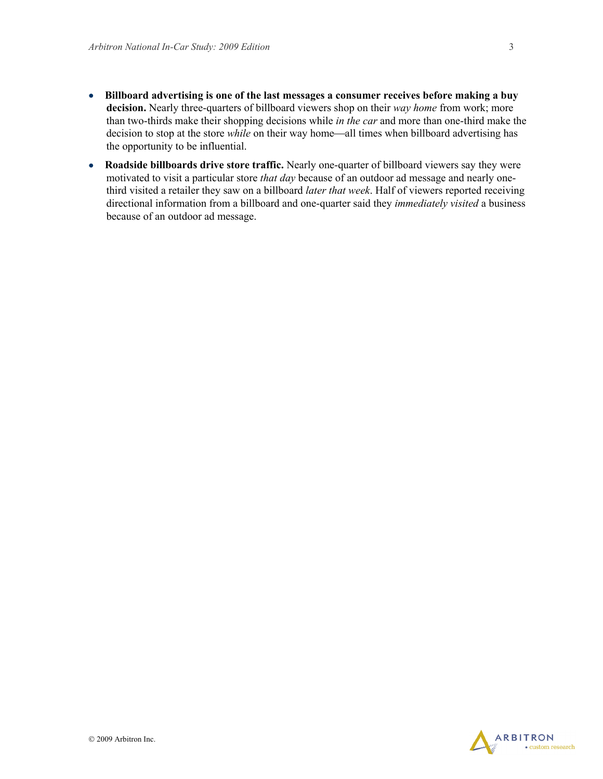- **Billboard advertising is one of the last messages a consumer receives before making a buy decision.** Nearly three-quarters of billboard viewers shop on their *way home* from work; more than two-thirds make their shopping decisions while *in the car* and more than one-third make the decision to stop at the store *while* on their way home—all times when billboard advertising has the opportunity to be influential.
- **Roadside billboards drive store traffic.** Nearly one-quarter of billboard viewers say they were motivated to visit a particular store *that day* because of an outdoor ad message and nearly onethird visited a retailer they saw on a billboard *later that week*. Half of viewers reported receiving directional information from a billboard and one-quarter said they *immediately visited* a business because of an outdoor ad message.

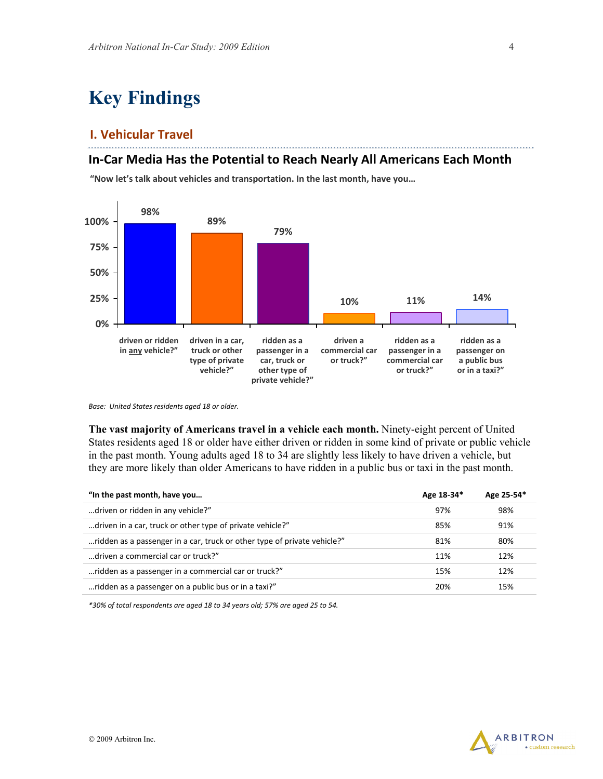# **Key Findings**

#### **I. Vehicular Travel**

#### **In‐Car Media Has the Potential to Reach Nearly All Americans Each Month**

**"Now let's talk about vehicles and transportation. In the last month, have you…**



**vehicle** *Base: United States residents aged 18 or older.*

**The vast majority of Americans travel in a vehicle each month.** Ninety-eight percent of United States residents aged 18 or older have either driven or ridden in some kind of private or public vehicle in the past month. Young adults aged 18 to 34 are slightly less likely to have driven a vehicle, but they are more likely than older Americans to have ridden in a public bus or taxi in the past month.

| "In the past month, have you                                             | Age 18-34* | Age 25-54* |
|--------------------------------------------------------------------------|------------|------------|
| driven or ridden in any vehicle?"                                        | 97%        | 98%        |
| driven in a car, truck or other type of private vehicle?"                | 85%        | 91%        |
| ridden as a passenger in a car, truck or other type of private vehicle?" | 81%        | 80%        |
| driven a commercial car or truck?"                                       | 11%        | 12%        |
| ridden as a passenger in a commercial car or truck?"                     | 15%        | 12%        |
| ridden as a passenger on a public bus or in a taxi?"                     | 20%        | 15%        |

*\*30% of total respondents are aged 18 to 34 years old; 57% are aged 25 to 54.*

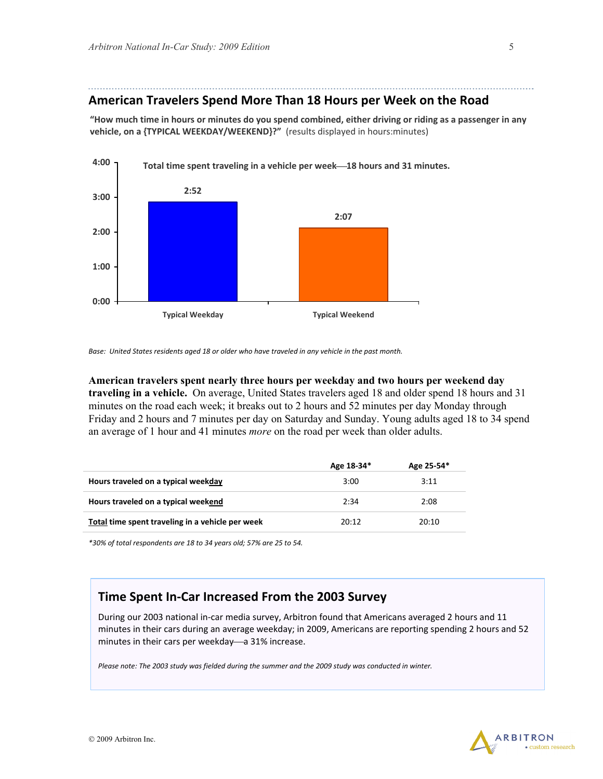#### **American Travelers Spend More Than 18 Hours per Week on the Road**

"How much time in hours or minutes do you spend combined, either driving or riding as a passenger in any **vehicle, on a {TYPICAL WEEKDAY/WEEKEND}?"** (results displayed in hours:minutes)



Base: United States residents aged 18 or older who have traveled in any vehicle in the past month.

**American travelers spent nearly three hours per weekday and two hours per weekend day traveling in a vehicle.** On average, United States travelers aged 18 and older spend 18 hours and 31 minutes on the road each week; it breaks out to 2 hours and 52 minutes per day Monday through Friday and 2 hours and 7 minutes per day on Saturday and Sunday. Young adults aged 18 to 34 spend an average of 1 hour and 41 minutes *more* on the road per week than older adults.

|                                                  | Age 18-34* | Age 25-54* |
|--------------------------------------------------|------------|------------|
| Hours traveled on a typical weekday              | 3:00       | 3:11       |
| Hours traveled on a typical weekend              | 2:34       | 2:08       |
| Total time spent traveling in a vehicle per week | 20:12      | 20:10      |

*\*30% of total respondents are 18 to 34 years old; 57% are 25 to 54.*

#### **Time Spent In‐Car Increased From the 2003 Survey**

During our 2003 national in‐car media survey, Arbitron found that Americans averaged 2 hours and 11 minutes in their cars during an average weekday; in 2009, Americans are reporting spending 2 hours and 52 minutes in their cars per weekday—a 31% increase.

Please note: The 2003 study was fielded during the summer and the 2009 study was conducted in winter.

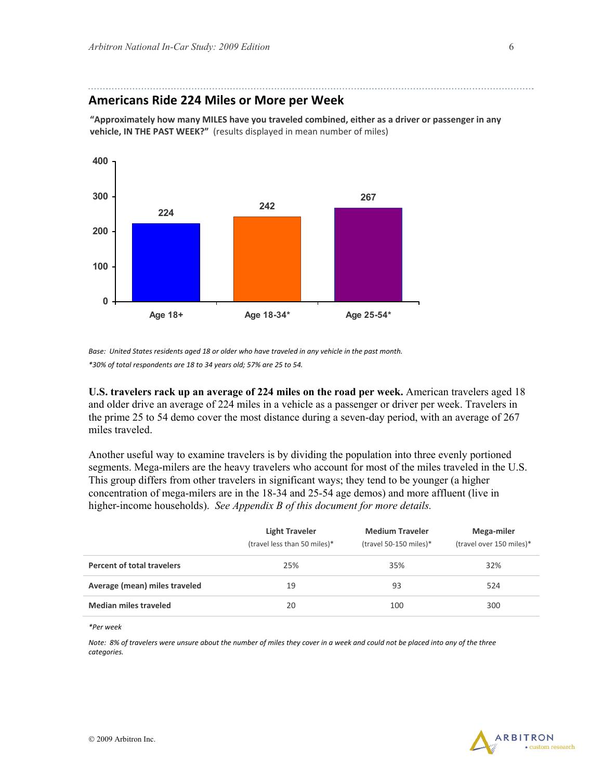#### **Americans Ride 224 Miles or More per Week**

**"Approximately how many MILES have you traveled combined, either as a driver or passenger in any vehicle, IN THE PAST WEEK?"** (results displayed in mean number of miles)



Base: United States residents aged 18 or older who have traveled in any vehicle in the past month. *\*30% of total respondents are 18 to 34 years old; 57% are 25 to 54.*

**U.S. travelers rack up an average of 224 miles on the road per week.** American travelers aged 18 and older drive an average of 224 miles in a vehicle as a passenger or driver per week. Travelers in the prime 25 to 54 demo cover the most distance during a seven-day period, with an average of 267 miles traveled.

Another useful way to examine travelers is by dividing the population into three evenly portioned segments. Mega-milers are the heavy travelers who account for most of the miles traveled in the U.S. This group differs from other travelers in significant ways; they tend to be younger (a higher concentration of mega-milers are in the 18-34 and 25-54 age demos) and more affluent (live in higher-income households). *See Appendix B of this document for more details.*

|                                   | <b>Light Traveler</b><br>(travel less than 50 miles)* | <b>Medium Traveler</b><br>(travel 50-150 miles)* | Mega-miler<br>(travel over 150 miles)* |
|-----------------------------------|-------------------------------------------------------|--------------------------------------------------|----------------------------------------|
| <b>Percent of total travelers</b> | 25%                                                   | 35%                                              | 32%                                    |
| Average (mean) miles traveled     | 19                                                    | 93                                               | 524                                    |
| <b>Median miles traveled</b>      | 20                                                    | 100                                              | 300                                    |

*\*Per week*

Note: 8% of travelers were unsure about the number of miles they cover in a week and could not be placed into any of the three *categories.*

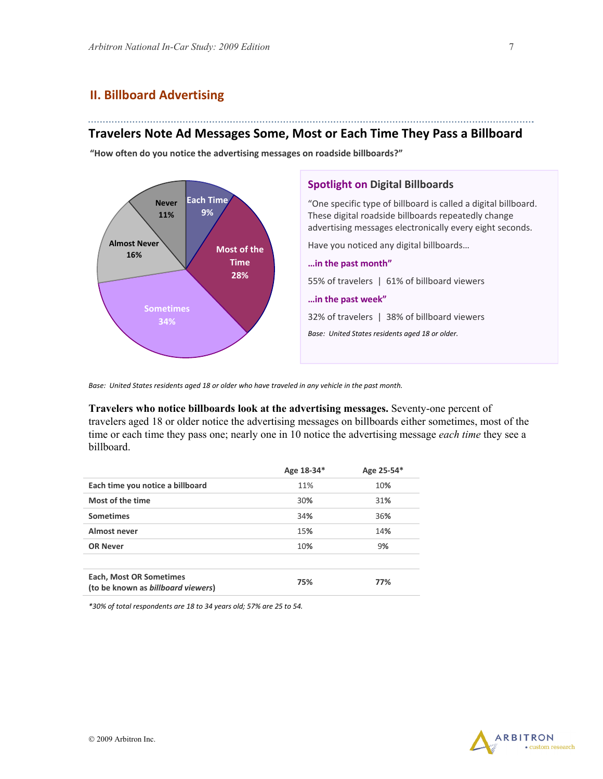#### **II. Billboard Advertising**

#### **Travelers Note Ad Messages Some, Most or Each Time They Pass a Billboard**

**"How often do you notice the advertising messages on roadside billboards?"**



Base: United States residents aged 18 or older who have traveled in any vehicle in the past month.

**Travelers who notice billboards look at the advertising messages.** Seventy-one percent of travelers aged 18 or older notice the advertising messages on billboards either sometimes, most of the time or each time they pass one; nearly one in 10 notice the advertising message *each time* they see a billboard.

|                                                                      | Age 18-34* | Age 25-54* |
|----------------------------------------------------------------------|------------|------------|
| Each time you notice a billboard                                     | 11%        | 10%        |
| Most of the time                                                     | 30%        | 31%        |
| <b>Sometimes</b>                                                     | 34%        | 36%        |
| Almost never                                                         | 15%        | 14%        |
| <b>OR Never</b>                                                      | 10%        | 9%         |
|                                                                      |            |            |
| <b>Each, Most OR Sometimes</b><br>(to be known as billboard viewers) | 75%        | 77%        |

*\*30% of total respondents are 18 to 34 years old; 57% are 25 to 54.*

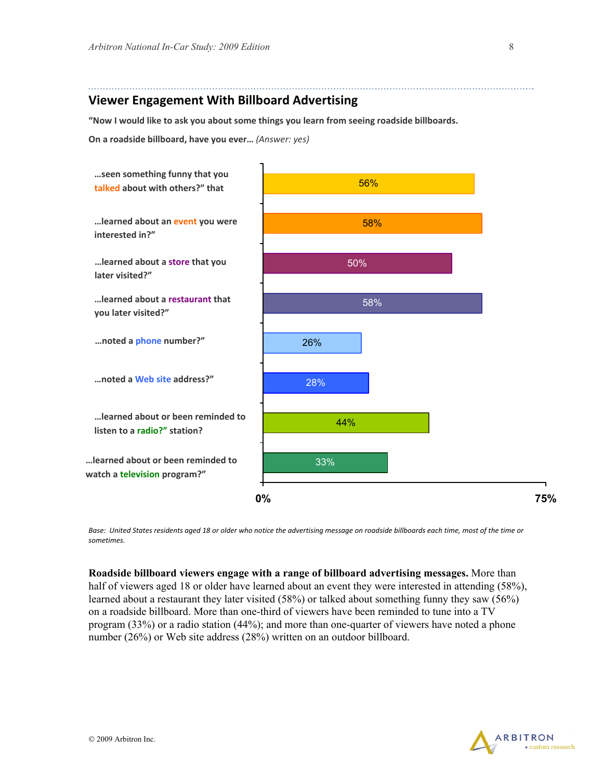#### **Viewer Engagement With Billboard Advertising**

**"Now I would like to ask you about some things you learn from seeing roadside billboards.** 

**On a roadside billboard, have you ever…** *(Answer: yes)*



Base: United States residents aged 18 or older who notice the advertising message on roadside billboards each time, most of the time or *sometimes.*

**Roadside billboard viewers engage with a range of billboard advertising messages.** More than half of viewers aged 18 or older have learned about an event they were interested in attending (58%), learned about a restaurant they later visited (58%) or talked about something funny they saw (56%) on a roadside billboard. More than one-third of viewers have been reminded to tune into a TV program (33%) or a radio station (44%); and more than one-quarter of viewers have noted a phone number (26%) or Web site address (28%) written on an outdoor billboard.

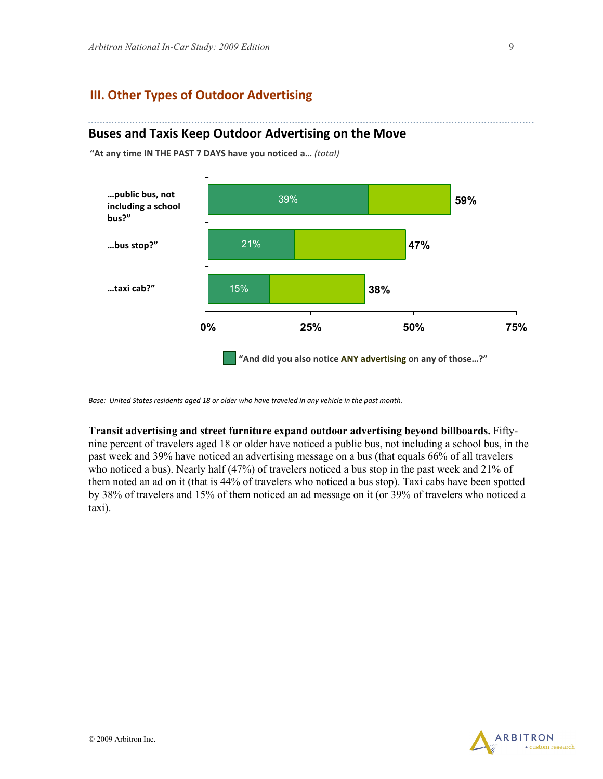. . . . . . . . . . . . . .

#### **III. Other Types of Outdoor Advertising**

#### **Buses and Taxis Keep Outdoor Advertising on the Move**

**"At any time IN THE PAST 7 DAYS have you noticed a…** *(total)*



Base: United States residents aged 18 or older who have traveled in any vehicle in the past month.

**Transit advertising and street furniture expand outdoor advertising beyond billboards.** Fiftynine percent of travelers aged 18 or older have noticed a public bus, not including a school bus, in the past week and 39% have noticed an advertising message on a bus (that equals 66% of all travelers who noticed a bus). Nearly half (47%) of travelers noticed a bus stop in the past week and 21% of them noted an ad on it (that is 44% of travelers who noticed a bus stop). Taxi cabs have been spotted by 38% of travelers and 15% of them noticed an ad message on it (or 39% of travelers who noticed a taxi).

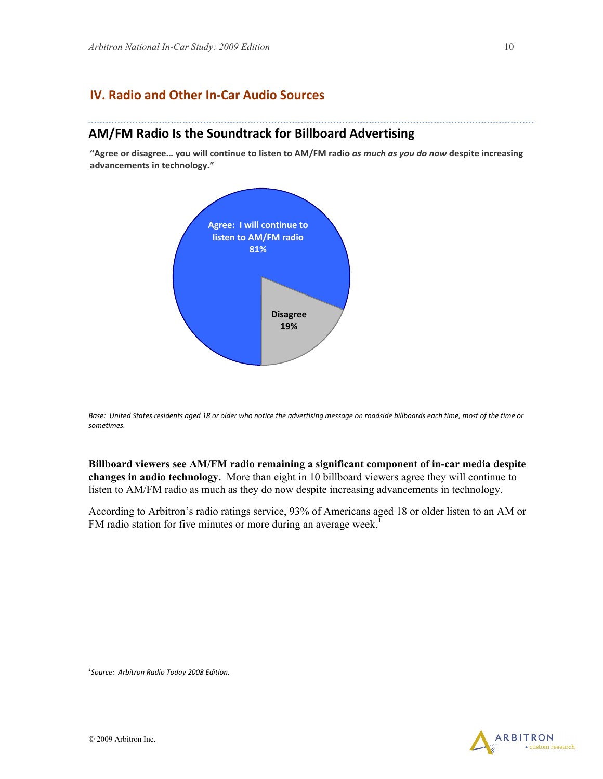#### **IV. Radio and Other In‐Car Audio Sources**

#### **AM/FM Radio Is the Soundtrack for Billboard Advertising**

"Agree or disagree... you will continue to listen to AM/FM radio as much as you do now despite increasing **advancements in technology."**



Base: United States residents aged 18 or older who notice the advertising message on roadside billboards each time, most of the time or *sometimes.*

**Billboard viewers see AM/FM radio remaining a significant component of in-car media despite changes in audio technology.** More than eight in 10 billboard viewers agree they will continue to listen to AM/FM radio as much as they do now despite increasing advancements in technology.

According to Arbitron's radio ratings service, 93% of Americans aged 18 or older listen to an AM or FM radio station for five minutes or more during an average week.<sup>1</sup>

*1 Source: Arbitron Radio Today 2008 Edition.*

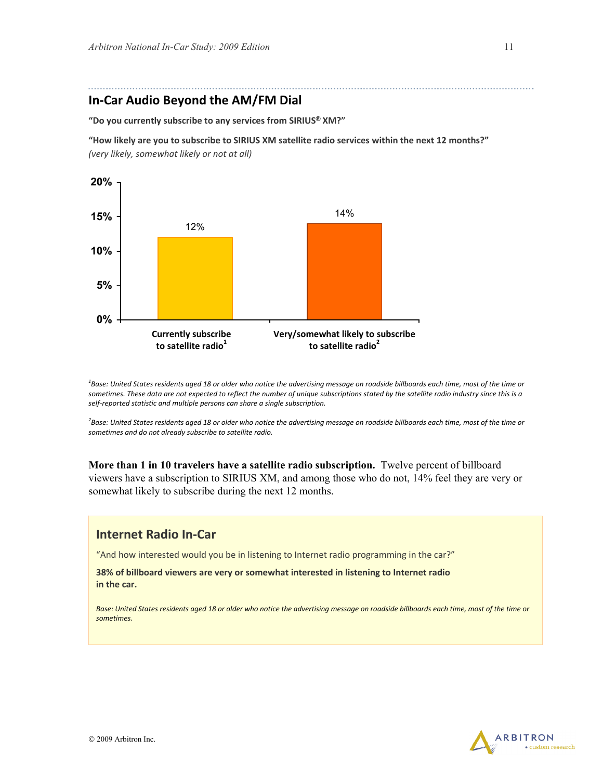#### **In‐Car Audio Beyond the AM/FM Dial**

**"Do you currently subscribe to any services from SIRIUS® XM?"**

**"How likely are you to subscribe to SIRIUS XM satellite radio services within the next 12 months?"** *(very likely, somewhat likely or not at all)*



<sup>1</sup>Base: United States residents aged 18 or older who notice the advertising message on roadside billboards each time, most of the time or sometimes. These data are not expected to reflect the number of unique subscriptions stated by the satellite radio industry since this is a *self‐reported statistic and multiple persons can share a single subscription.*

<sup>2</sup>Base: United States residents aged 18 or older who notice the advertising message on roadside billboards each time, most of the time or *sometimes and do not already subscribe to satellite radio.*

**More than 1 in 10 travelers have a satellite radio subscription.** Twelve percent of billboard viewers have a subscription to SIRIUS XM, and among those who do not, 14% feel they are very or somewhat likely to subscribe during the next 12 months.

#### **Internet Radio In‐Car**

"And how interested would you be in listening to Internet radio programming in the car?"

**38% of billboard viewers are very or somewhat interested in listening to Internet radio in the car.**

Base: United States residents aged 18 or older who notice the advertising message on roadside billboards each time, most of the time or *sometimes.*

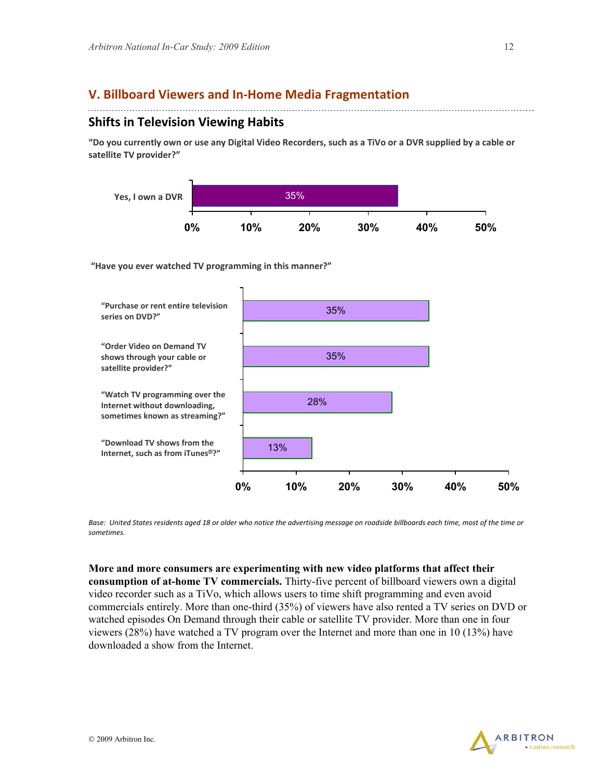#### **V. Billboard Viewers and In‐Home Media Fragmentation**

#### **Shifts in Television Viewing Habits**

"Do you currently own or use any Digital Video Recorders, such as a TiVo or a DVR supplied by a cable or **satellite TV provider?"**



**"Have you ever watched TV programming in this manner?"** 



Base: United States residents aged 18 or older who notice the advertising message on roadside billboards each time, most of the time or *sometimes.*

**More and more consumers are experimenting with new video platforms that affect their consumption of at-home TV commercials.** Thirty-five percent of billboard viewers own a digital video recorder such as a TiVo, which allows users to time shift programming and even avoid commercials entirely. More than one-third (35%) of viewers have also rented a TV series on DVD or watched episodes On Demand through their cable or satellite TV provider. More than one in four viewers (28%) have watched a TV program over the Internet and more than one in 10 (13%) have downloaded a show from the Internet.

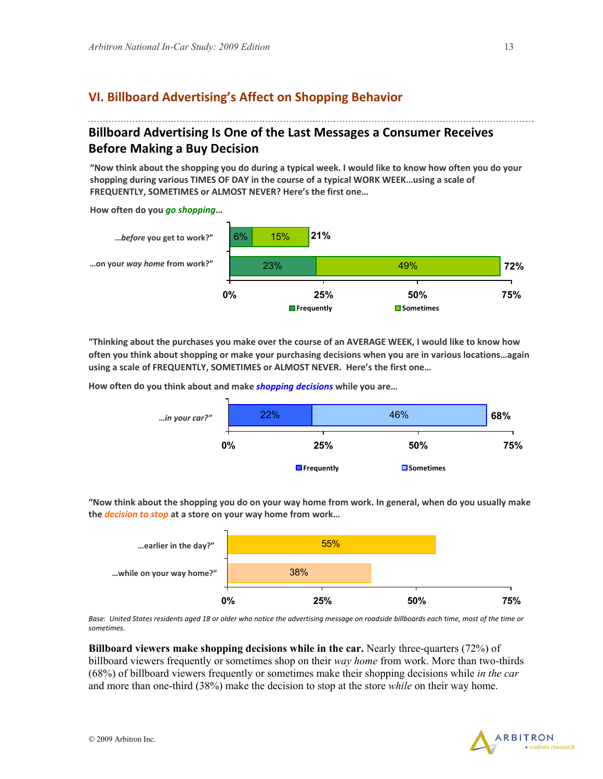#### **VI. Billboard Advertising's Affect on Shopping Behavior**

#### **Billboard Advertising Is One of the Last Messages a Consumer Receives Before Making a Buy Decision**

"Now think about the shopping you do during a typical week. I would like to know how often you do your **shopping during various TIMES OF DAY in the course of a typical WORK WEEK…using a scale of FREQUENTLY, SOMETIMES or ALMOST NEVER? Here's the first one…** 

**How often do you** *go shopping***…**



"Thinking about the purchases you make over the course of an AVERAGE WEEK, I would like to know how **often you think about shopping or make your purchasing decisions when you are in various locations…again using a scale of FREQUENTLY, SOMETIMES or ALMOST NEVER. Here's the first one…**

**How often do you think about and make** *shopping decisions* **while you are…**



"Now think about the shopping you do on your way home from work. In general, when do you usually make **the** *decision to stop* **at a store on your way home from work…**



Base: United States residents aged 18 or older who notice the advertising message on roadside billboards each time, most of the time or *sometimes.*

**Billboard viewers make shopping decisions while in the car.** Nearly three-quarters (72%) of billboard viewers frequently or sometimes shop on their *way home* from work. More than two-thirds (68%) of billboard viewers frequently or sometimes make their shopping decisions while *in the car* and more than one-third (38%) make the decision to stop at the store *while* on their way home.

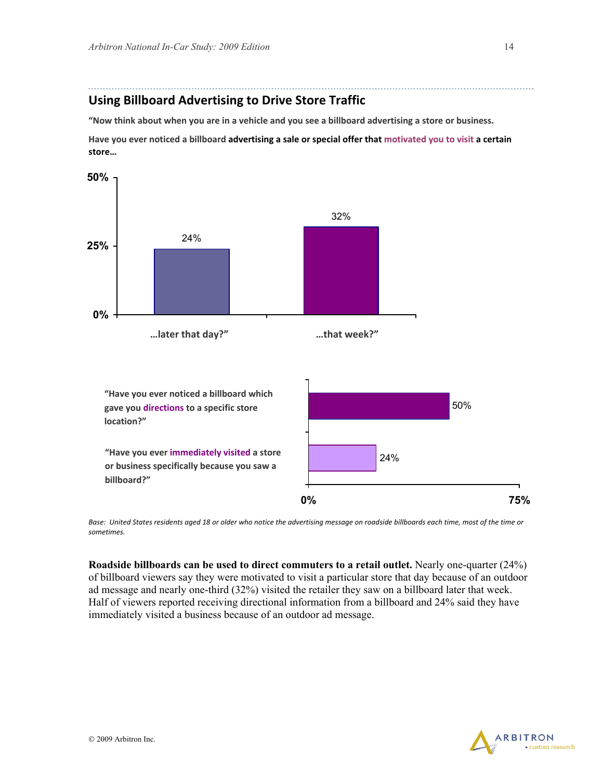#### **Using Billboard Advertising to Drive Store Traffic**

"Now think about when you are in a vehicle and you see a billboard advertising a store or business.

Have you ever noticed a billboard advertising a sale or special offer that motivated you to visit a certain **store…**



Base: United States residents aged 18 or older who notice the advertising message on roadside billboards each time, most of the time or *sometimes.*

**Roadside billboards can be used to direct commuters to a retail outlet.** Nearly one-quarter (24%) of billboard viewers say they were motivated to visit a particular store that day because of an outdoor ad message and nearly one-third (32%) visited the retailer they saw on a billboard later that week. Half of viewers reported receiving directional information from a billboard and 24% said they have immediately visited a business because of an outdoor ad message.

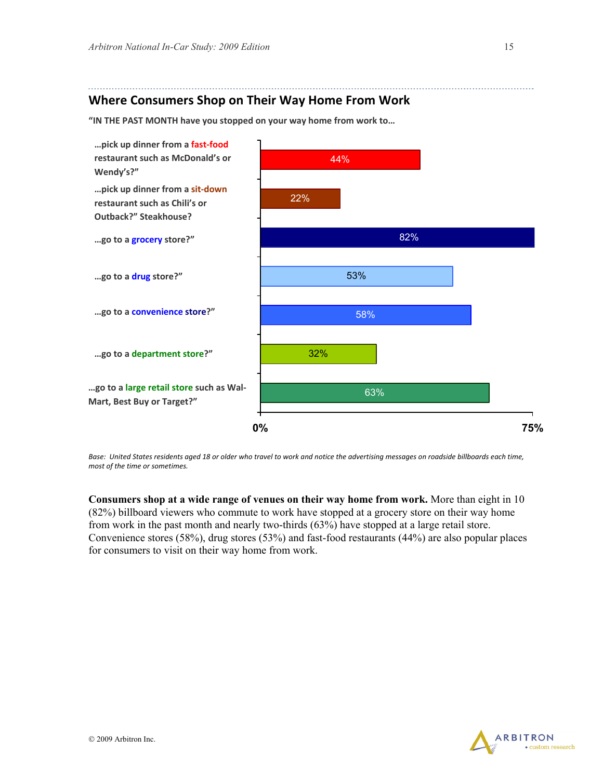#### **Where Consumers Shop on Their Way Home From Work**

**"IN THE PAST MONTH have you stopped on your way home from work to…** 



Base: United States residents aged 18 or older who travel to work and notice the advertising messages on roadside billboards each time, *most of the time or sometimes.*

**Consumers shop at a wide range of venues on their way home from work.** More than eight in 10 (82%) billboard viewers who commute to work have stopped at a grocery store on their way home from work in the past month and nearly two-thirds (63%) have stopped at a large retail store. Convenience stores (58%), drug stores (53%) and fast-food restaurants (44%) are also popular places for consumers to visit on their way home from work.

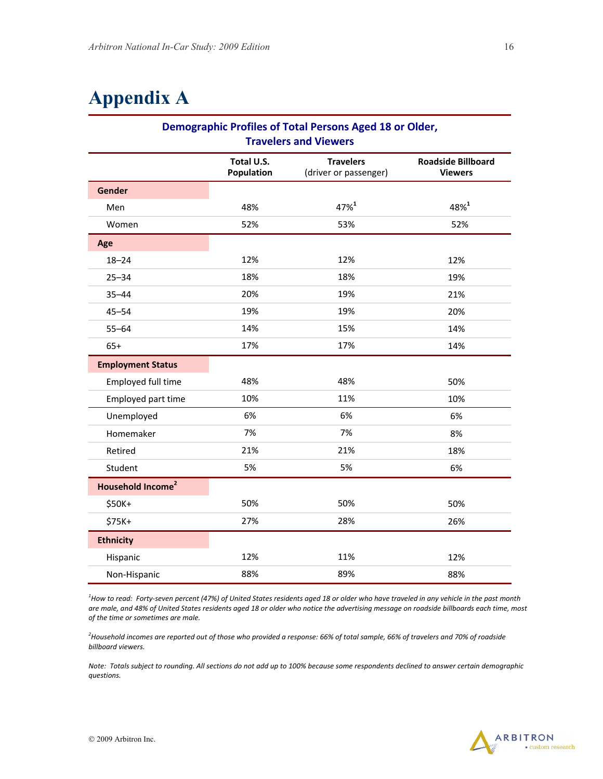# **Appendix A**

| Demographic Profiles of Total Persons Aged 18 or Older,<br><b>Travelers and Viewers</b> |                          |                                           |                                             |
|-----------------------------------------------------------------------------------------|--------------------------|-------------------------------------------|---------------------------------------------|
|                                                                                         | Total U.S.<br>Population | <b>Travelers</b><br>(driver or passenger) | <b>Roadside Billboard</b><br><b>Viewers</b> |
| Gender                                                                                  |                          |                                           |                                             |
| Men                                                                                     | 48%                      | 47%1                                      | 48%1                                        |
| Women                                                                                   | 52%                      | 53%                                       | 52%                                         |
| Age                                                                                     |                          |                                           |                                             |
| $18 - 24$                                                                               | 12%                      | 12%                                       | 12%                                         |
| $25 - 34$                                                                               | 18%                      | 18%                                       | 19%                                         |
| $35 - 44$                                                                               | 20%                      | 19%                                       | 21%                                         |
| $45 - 54$                                                                               | 19%                      | 19%                                       | 20%                                         |
| $55 - 64$                                                                               | 14%                      | 15%                                       | 14%                                         |
| $65+$                                                                                   | 17%                      | 17%                                       | 14%                                         |
| <b>Employment Status</b>                                                                |                          |                                           |                                             |
| Employed full time                                                                      | 48%                      | 48%                                       | 50%                                         |
| Employed part time                                                                      | 10%                      | 11%                                       | 10%                                         |
| Unemployed                                                                              | 6%                       | 6%                                        | 6%                                          |
| Homemaker                                                                               | 7%                       | 7%                                        | 8%                                          |
| Retired                                                                                 | 21%                      | 21%                                       | 18%                                         |
| Student                                                                                 | 5%                       | 5%                                        | 6%                                          |
| Household Income <sup>2</sup>                                                           |                          |                                           |                                             |
| \$50K+                                                                                  | 50%                      | 50%                                       | 50%                                         |
| \$75K+                                                                                  | 27%                      | 28%                                       | 26%                                         |
| <b>Ethnicity</b>                                                                        |                          |                                           |                                             |
| Hispanic                                                                                | 12%                      | 11%                                       | 12%                                         |
| Non-Hispanic                                                                            | 88%                      | 89%                                       | 88%                                         |

<sup>1</sup>How to read: Forty-seven percent (47%) of United States residents aged 18 or older who have traveled in any vehicle in the past month are male, and 48% of United States residents aged 18 or older who notice the advertising message on roadside billboards each time, most *of the time or sometimes are male.*

<sup>2</sup>Household incomes are reported out of those who provided a response: 66% of total sample, 66% of travelers and 70% of roadside *billboard viewers.*

Note: Totals subject to rounding. All sections do not add up to 100% because some respondents declined to answer certain demographic *questions.*

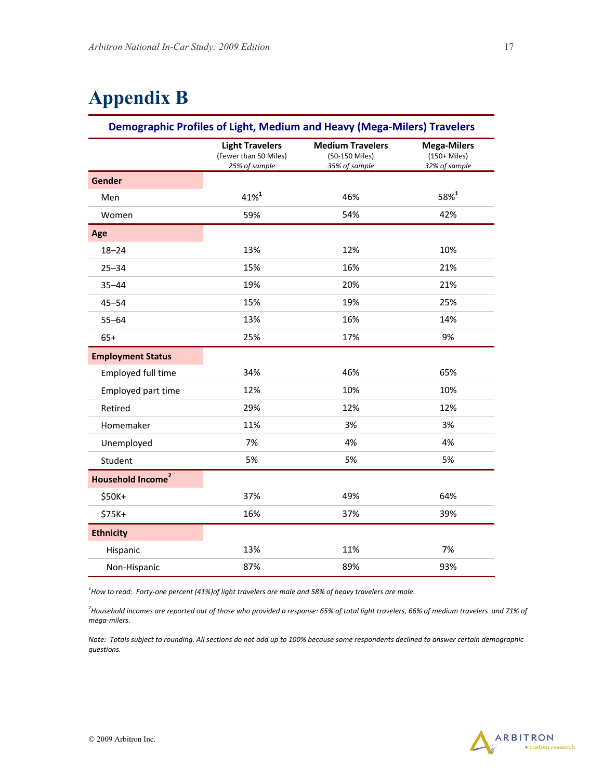# **Appendix B**

#### **Demographic Profiles of Light, Medium and Heavy (Mega‐Milers) Travelers**

|                               | <b>Light Travelers</b><br>(Fewer than 50 Miles)<br>25% of sample | <b>Medium Travelers</b><br>(50-150 Miles)<br>35% of sample | <b>Mega-Milers</b><br>$(150+Miles)$<br>32% of sample |
|-------------------------------|------------------------------------------------------------------|------------------------------------------------------------|------------------------------------------------------|
| Gender                        |                                                                  |                                                            |                                                      |
| Men                           | $41%^{1}$                                                        | 46%                                                        | $58%^{1}$                                            |
| Women                         | 59%                                                              | 54%                                                        | 42%                                                  |
| Age                           |                                                                  |                                                            |                                                      |
| $18 - 24$                     | 13%                                                              | 12%                                                        | 10%                                                  |
| $25 - 34$                     | 15%                                                              | 16%                                                        | 21%                                                  |
| $35 - 44$                     | 19%                                                              | 20%                                                        | 21%                                                  |
| $45 - 54$                     | 15%                                                              | 19%                                                        | 25%                                                  |
| $55 - 64$                     | 13%                                                              | 16%                                                        | 14%                                                  |
| $65+$                         | 25%                                                              | 17%                                                        | 9%                                                   |
| <b>Employment Status</b>      |                                                                  |                                                            |                                                      |
| Employed full time            | 34%                                                              | 46%                                                        | 65%                                                  |
| Employed part time            | 12%                                                              | 10%                                                        | 10%                                                  |
| Retired                       | 29%                                                              | 12%                                                        | 12%                                                  |
| Homemaker                     | 11%                                                              | 3%                                                         | 3%                                                   |
| Unemployed                    | 7%                                                               | 4%                                                         | 4%                                                   |
| Student                       | 5%                                                               | 5%                                                         | 5%                                                   |
| Household Income <sup>2</sup> |                                                                  |                                                            |                                                      |
| \$50K+                        | 37%                                                              | 49%                                                        | 64%                                                  |
| \$75K+                        | 16%                                                              | 37%                                                        | 39%                                                  |
| <b>Ethnicity</b>              |                                                                  |                                                            |                                                      |
| Hispanic                      | 13%                                                              | 11%                                                        | 7%                                                   |
| Non-Hispanic                  | 87%                                                              | 89%                                                        | 93%                                                  |

 $^{\rm 1}$ How to read: Forty-one percent (41%)of light travelers are male and 58% of heavy travelers are male.

<sup>2</sup>Household incomes are reported out of those who provided a response: 65% of total light travelers, 66% of medium travelers and 71% of *mega‐milers.*

Note: Totals subject to rounding. All sections do not add up to 100% because some respondents declined to answer certain demographic *questions.*

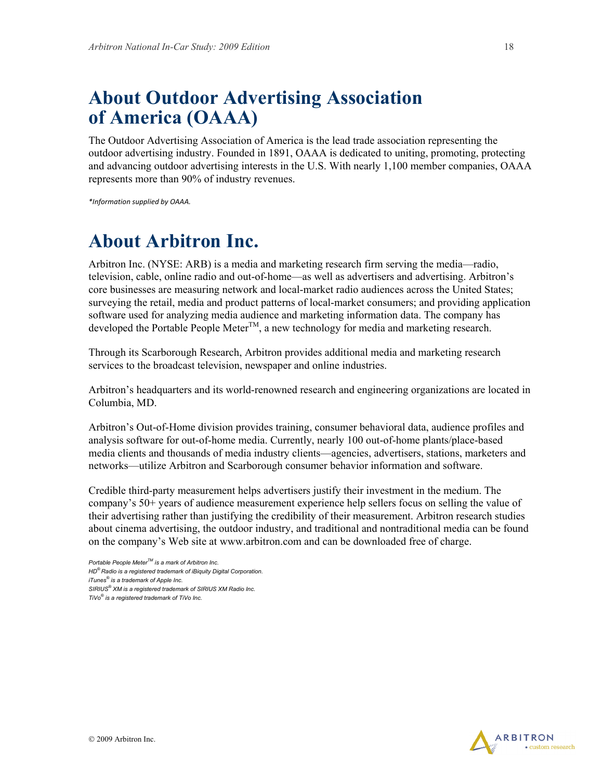# **About Outdoor Advertising Association of America (OAAA)**

The Outdoor Advertising Association of America is the lead trade association representing the outdoor advertising industry. Founded in 1891, OAAA is dedicated to uniting, promoting, protecting and advancing outdoor advertising interests in the U.S. With nearly 1,100 member companies, OAAA represents more than 90% of industry revenues.

*\*Information supplied by OAAA.*

# **About Arbitron Inc.**

Arbitron Inc. (NYSE: ARB) is a media and marketing research firm serving the media—radio, television, cable, online radio and out-of-home—as well as advertisers and advertising. Arbitron's core businesses are measuring network and local-market radio audiences across the United States; surveying the retail, media and product patterns of local-market consumers; and providing application software used for analyzing media audience and marketing information data. The company has developed the Portable People Meter<sup>TM</sup>, a new technology for media and marketing research.

Through its Scarborough Research, Arbitron provides additional media and marketing research services to the broadcast television, newspaper and online industries.

Arbitron's headquarters and its world-renowned research and engineering organizations are located in Columbia, MD.

Arbitron's Out-of-Home division provides training, consumer behavioral data, audience profiles and analysis software for out-of-home media. Currently, nearly 100 out-of-home plants/place-based media clients and thousands of media industry clients—agencies, advertisers, stations, marketers and networks—utilize Arbitron and Scarborough consumer behavior information and software.

Credible third-party measurement helps advertisers justify their investment in the medium. The company's 50+ years of audience measurement experience help sellers focus on selling the value of their advertising rather than justifying the credibility of their measurement. Arbitron research studies about cinema advertising, the outdoor industry, and traditional and nontraditional media can be found on the company's Web site at www.arbitron.com and can be downloaded free of charge.



*Portable People MeterTM is a mark of Arbitron Inc. HD® Radio is a registered trademark of iBiquity Digital Corporation. iTunes® is a trademark of Apple Inc. SIRIUS® XM is a registered trademark of SIRIUS XM Radio Inc. TiVo® is a registered trademark of TiVo Inc.*